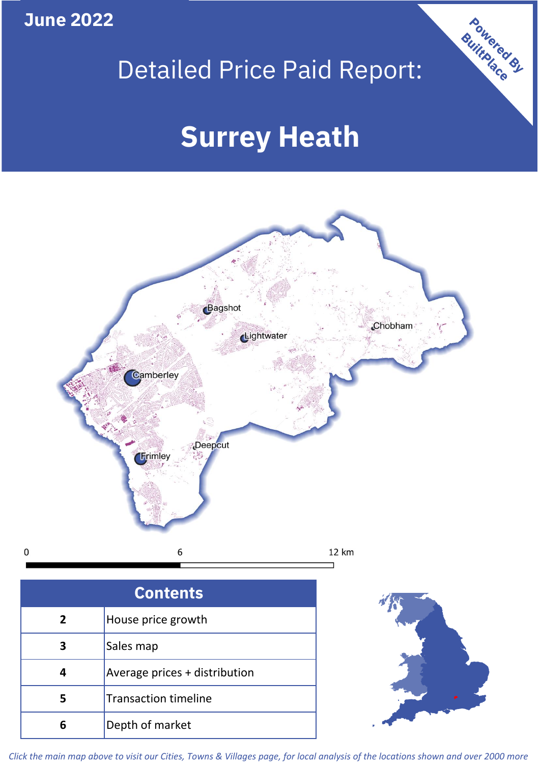**June 2022**

**5**

**4**

## Detailed Price Paid Report:

Powered By

# **Surrey Heath**



*Click the main map above to visit our Cities, Towns & Villages page, for local analysis of the locations shown and over 2000 more*

Average prices + distribution

Transaction timeline

**6** Depth of market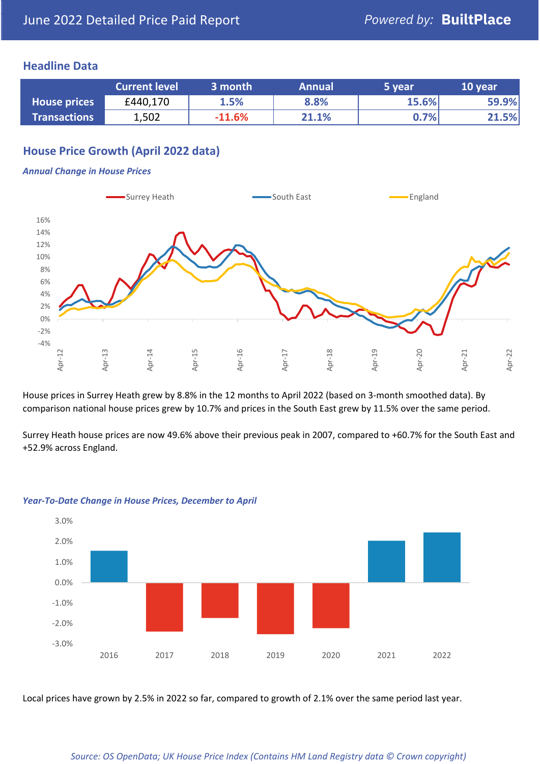## **Headline Data**

|                     | <b>Current level</b> | 3 month  | <b>Annual</b> | 5 year | 10 year |
|---------------------|----------------------|----------|---------------|--------|---------|
| <b>House prices</b> | £440,170             | 1.5%     | 8.8%          | 15.6%  | 59.9%   |
| <b>Transactions</b> | 1,502                | $-11.6%$ | 21.1%         | 0.7%   | 21.5%   |

## **House Price Growth (April 2022 data)**

#### *Annual Change in House Prices*



House prices in Surrey Heath grew by 8.8% in the 12 months to April 2022 (based on 3-month smoothed data). By comparison national house prices grew by 10.7% and prices in the South East grew by 11.5% over the same period.

Surrey Heath house prices are now 49.6% above their previous peak in 2007, compared to +60.7% for the South East and +52.9% across England.



#### *Year-To-Date Change in House Prices, December to April*

Local prices have grown by 2.5% in 2022 so far, compared to growth of 2.1% over the same period last year.

#### *Source: OS OpenData; UK House Price Index (Contains HM Land Registry data © Crown copyright)*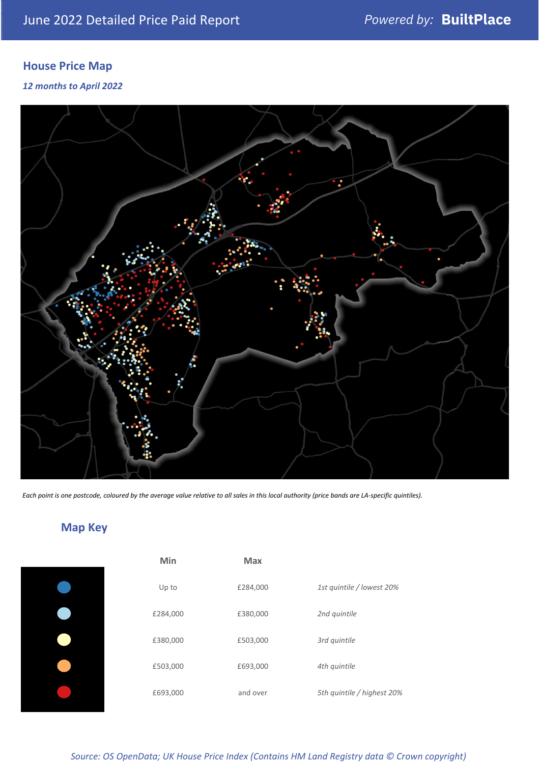## **House Price Map**

*12 months to April 2022*



*Each point is one postcode, coloured by the average value relative to all sales in this local authority (price bands are LA-specific quintiles).*

## **Map Key**

| Min      | <b>Max</b> |                            |
|----------|------------|----------------------------|
| Up to    | £284,000   | 1st quintile / lowest 20%  |
| £284,000 | £380,000   | 2nd quintile               |
| £380,000 | £503,000   | 3rd quintile               |
| £503,000 | £693,000   | 4th quintile               |
| £693,000 | and over   | 5th quintile / highest 20% |
|          |            |                            |

*Source: OS OpenData; UK House Price Index (Contains HM Land Registry data © Crown copyright)*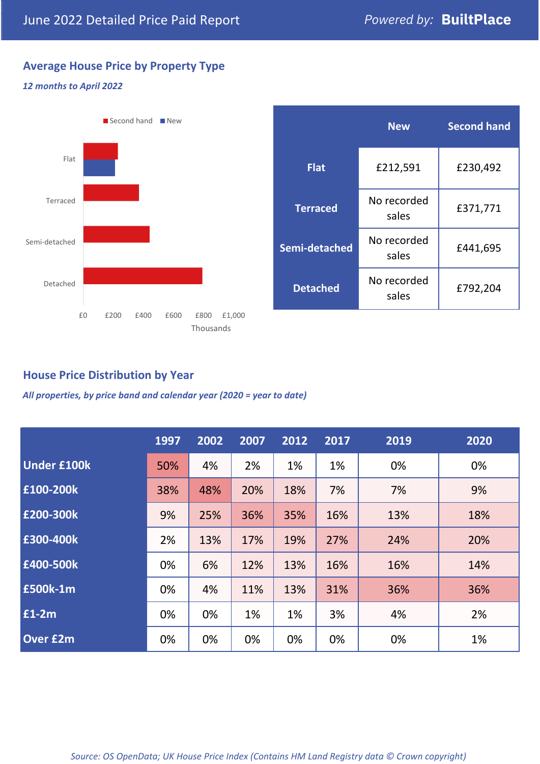## **Average House Price by Property Type**

### *12 months to April 2022*



|                 | <b>New</b>           | <b>Second hand</b> |  |
|-----------------|----------------------|--------------------|--|
| <b>Flat</b>     | £212,591             | £230,492           |  |
| <b>Terraced</b> | No recorded<br>sales | £371,771           |  |
| Semi-detached   | No recorded<br>sales | £441,695           |  |
| <b>Detached</b> | No recorded<br>sales | £792,204           |  |

## **House Price Distribution by Year**

*All properties, by price band and calendar year (2020 = year to date)*

|                    | 1997 | 2002 | 2007 | 2012 | 2017 | 2019 | 2020 |
|--------------------|------|------|------|------|------|------|------|
| <b>Under £100k</b> | 50%  | 4%   | 2%   | 1%   | 1%   | 0%   | 0%   |
| £100-200k          | 38%  | 48%  | 20%  | 18%  | 7%   | 7%   | 9%   |
| E200-300k          | 9%   | 25%  | 36%  | 35%  | 16%  | 13%  | 18%  |
| £300-400k          | 2%   | 13%  | 17%  | 19%  | 27%  | 24%  | 20%  |
| £400-500k          | 0%   | 6%   | 12%  | 13%  | 16%  | 16%  | 14%  |
| <b>£500k-1m</b>    | 0%   | 4%   | 11%  | 13%  | 31%  | 36%  | 36%  |
| £1-2m              | 0%   | 0%   | 1%   | 1%   | 3%   | 4%   | 2%   |
| <b>Over £2m</b>    | 0%   | 0%   | 0%   | 0%   | 0%   | 0%   | 1%   |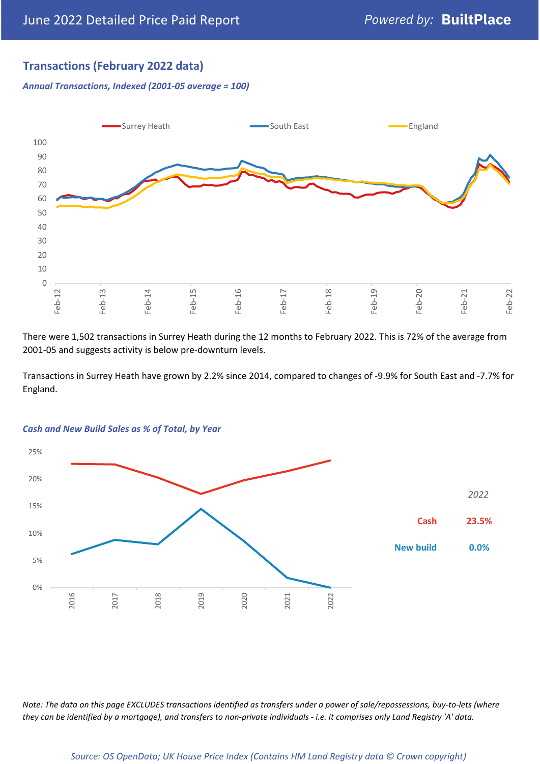## **Transactions (February 2022 data)**

*Annual Transactions, Indexed (2001-05 average = 100)*



There were 1,502 transactions in Surrey Heath during the 12 months to February 2022. This is 72% of the average from 2001-05 and suggests activity is below pre-downturn levels.

Transactions in Surrey Heath have grown by 2.2% since 2014, compared to changes of -9.9% for South East and -7.7% for England.



#### *Cash and New Build Sales as % of Total, by Year*

*Note: The data on this page EXCLUDES transactions identified as transfers under a power of sale/repossessions, buy-to-lets (where they can be identified by a mortgage), and transfers to non-private individuals - i.e. it comprises only Land Registry 'A' data.*